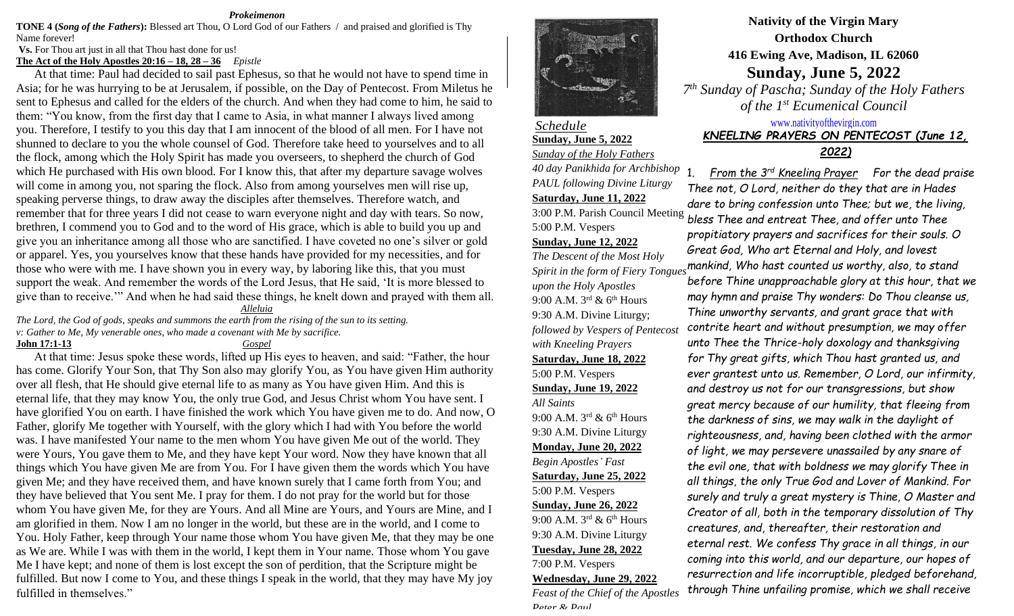#### *Prokeimenon*

**TONE 4 (***Song of the Fathers***):** Blessed art Thou, O Lord God of our Fathers / and praised and glorified is Thy Name forever!

# **Vs.** For Thou art just in all that Thou hast done for us!

# **The Act of the Holy Apostles 20:16 – 18, 28 – 36** *Epistle*

At that time: Paul had decided to sail past Ephesus, so that he would not have to spend time in Asia; for he was hurrying to be at Jerusalem, if possible, on the Day of Pentecost. From Miletus he sent to Ephesus and called for the elders of the church. And when they had come to him, he said to them: "You know, from the first day that I came to Asia, in what manner I always lived among you. Therefore, I testify to you this day that I am innocent of the blood of all men. For I have not shunned to declare to you the whole counsel of God. Therefore take heed to yourselves and to all the flock, among which the Holy Spirit has made you overseers, to shepherd the church of God which He purchased with His own blood. For I know this, that after my departure savage wolves will come in among you, not sparing the flock. Also from among yourselves men will rise up, speaking perverse things, to draw away the disciples after themselves. Therefore watch, and remember that for three years I did not cease to warn everyone night and day with tears. So now, brethren, I commend you to God and to the word of His grace, which is able to build you up and give you an inheritance among all those who are sanctified. I have coveted no one's silver or gold or apparel. Yes, you yourselves know that these hands have provided for my necessities, and for those who were with me. I have shown you in every way, by laboring like this, that you must support the weak. And remember the words of the Lord Jesus, that He said, 'It is more blessed to give than to receive.'" And when he had said these things, he knelt down and prayed with them all.

*Alleluia*

*The Lord, the God of gods, speaks and summons the earth from the rising of the sun to its setting. v: Gather to Me, My venerable ones, who made a covenant with Me by sacrifice.* **John 17:1-13** *Gospel*

At that time: Jesus spoke these words, lifted up His eyes to heaven, and said: "Father, the hour has come. Glorify Your Son, that Thy Son also may glorify You, as You have given Him authority over all flesh, that He should give eternal life to as many as You have given Him. And this is eternal life, that they may know You, the only true God, and Jesus Christ whom You have sent. I have glorified You on earth. I have finished the work which You have given me to do. And now, O Father, glorify Me together with Yourself, with the glory which I had with You before the world was. I have manifested Your name to the men whom You have given Me out of the world. They were Yours, You gave them to Me, and they have kept Your word. Now they have known that all things which You have given Me are from You. For I have given them the words which You have given Me; and they have received them, and have known surely that I came forth from You; and they have believed that You sent Me. I pray for them. I do not pray for the world but for those whom You have given Me, for they are Yours. And all Mine are Yours, and Yours are Mine, and I am glorified in them. Now I am no longer in the world, but these are in the world, and I come to You. Holy Father, keep through Your name those whom You have given Me, that they may be one as We are. While I was with them in the world, I kept them in Your name. Those whom You gave Me I have kept; and none of them is lost except the son of perdition, that the Scripture might be fulfilled. But now I come to You, and these things I speak in the world, that they may have My joy fulfilled in themselves."



## *Schedule* **Sunday, June 5, 2022** *Sunday of the Holy Fathers*

*40 day Panikhida for Archbishop PAUL following Divine Liturgy* **Saturday, June 11, 2022** 3:00 P.M. Parish Council Meeting 5:00 P.M. Vespers **Sunday, June 12, 2022** *The Descent of the Most Holy Spirit in the form of Fiery Tongues upon the Holy Apostles* 9:00 A.M.  $3^{\text{rd}}$  & 6<sup>th</sup> Hours 9:30 A.M. Divine Liturgy; *followed by Vespers of Pentecost with Kneeling Prayers* **Saturday, June 18, 2022** 5:00 P.M. Vespers **Sunday, June 19, 2022** *All Saints* 9:00 A.M.  $3^{rd}$  & 6<sup>th</sup> Hours 9:30 A.M. Divine Liturgy **Monday, June 20, 2022** *Begin Apostles' Fast* **Saturday, June 25, 2022** 5:00 P.M. Vespers **Sunday, June 26, 2022** 9:00 A.M.  $3^{rd}$  & 6<sup>th</sup> Hours 9:30 A.M. Divine Liturgy **Tuesday, June 28, 2022** 7:00 P.M. Vespers **Wednesday, June 29, 2022** *Feast of the Chief of the Apostles* 

*Peter & Paul*

# **Nativity of the Virgin Mary Orthodox Church 416 Ewing Ave, Madison, IL 62060 Sunday, June 5, 2022**

*7 th Sunday of Pascha; Sunday of the Holy Fathers of the 1st Ecumenical Council*

# [www.nativityofthevirgin.com](http://www.nativityofthevirgin.com/) *KNEELING PRAYERS ON PENTECOST (June 12, 2022)*

1. *From the 3 rd Kneeling Prayer For the dead praise Thee not, O Lord, neither do they that are in Hades dare to bring confession unto Thee; but we, the living, bless Thee and entreat Thee, and offer unto Thee propitiatory prayers and sacrifices for their souls. O Great God, Who art Eternal and Holy, and lovest mankind, Who hast counted us worthy, also, to stand before Thine unapproachable glory at this hour, that we may hymn and praise Thy wonders: Do Thou cleanse us, Thine unworthy servants, and grant grace that with contrite heart and without presumption, we may offer unto Thee the Thrice-holy doxology and thanksgiving for Thy great gifts, which Thou hast granted us, and ever grantest unto us. Remember, O Lord, our infirmity, and destroy us not for our transgressions, but show great mercy because of our humility, that fleeing from the darkness of sins, we may walk in the daylight of righteousness, and, having been clothed with the armor of light, we may persevere unassailed by any snare of the evil one, that with boldness we may glorify Thee in all things, the only True God and Lover of Mankind. For surely and truly a great mystery is Thine, O Master and Creator of all, both in the temporary dissolution of Thy creatures, and, thereafter, their restoration and eternal rest. We confess Thy grace in all things, in our coming into this world, and our departure, our hopes of resurrection and life incorruptible, pledged beforehand, through Thine unfailing promise, which we shall receive*